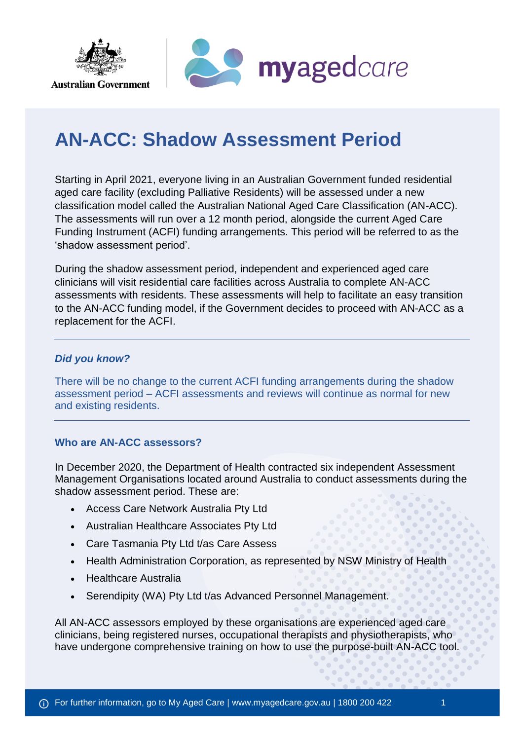



# **AN-ACC: Shadow Assessment Period**

Starting in April 2021, everyone living in an Australian Government funded residential aged care facility (excluding Palliative Residents) will be assessed under a new classification model called the Australian National Aged Care Classification (AN-ACC). The assessments will run over a 12 month period, alongside the current Aged Care Funding Instrument (ACFI) funding arrangements. This period will be referred to as the 'shadow assessment period'.

During the shadow assessment period, independent and experienced aged care clinicians will visit residential care facilities across Australia to complete AN-ACC assessments with residents. These assessments will help to facilitate an easy transition to the AN-ACC funding model, if the Government decides to proceed with AN-ACC as a replacement for the ACFI.

## *Did you know?*

There will be no change to the current ACFI funding arrangements during the shadow assessment period – ACFI assessments and reviews will continue as normal for new and existing residents.

## **Who are AN-ACC assessors?**

In December 2020, the Department of Health contracted six independent Assessment Management Organisations located around Australia to conduct assessments during the shadow assessment period. These are:

- Access Care Network Australia Pty Ltd
- Australian Healthcare Associates Pty Ltd
- Care Tasmania Pty Ltd t/as Care Assess
- Health Administration Corporation, as represented by NSW Ministry of Health
- Healthcare Australia
- Serendipity (WA) Pty Ltd t/as Advanced Personnel Management.

All AN-ACC assessors employed by these organisations are experienced aged care clinicians, being registered nurses, occupational therapists and physiotherapists, who have undergone comprehensive training on how to use the purpose-built AN-ACC tool.